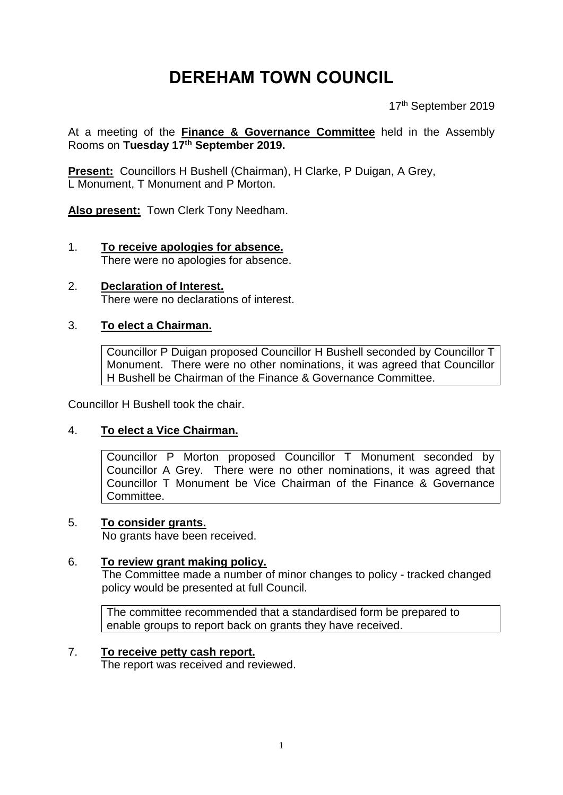# **DEREHAM TOWN COUNCIL**

17th September 2019

At a meeting of the **Finance & Governance Committee** held in the Assembly Rooms on **Tuesday 17th September 2019.**

**Present:** Councillors H Bushell (Chairman), H Clarke, P Duigan, A Grey, L Monument, T Monument and P Morton.

**Also present:** Town Clerk Tony Needham.

- 1. **To receive apologies for absence.** There were no apologies for absence.
- 2. **Declaration of Interest.**  There were no declarations of interest.

# 3. **To elect a Chairman.**

Councillor P Duigan proposed Councillor H Bushell seconded by Councillor T Monument. There were no other nominations, it was agreed that Councillor H Bushell be Chairman of the Finance & Governance Committee.

Councillor H Bushell took the chair.

#### 4. **To elect a Vice Chairman.**

Councillor P Morton proposed Councillor T Monument seconded by Councillor A Grey. There were no other nominations, it was agreed that Councillor T Monument be Vice Chairman of the Finance & Governance Committee.

#### 5. **To consider grants.**

No grants have been received.

#### 6. **To review grant making policy.**

The Committee made a number of minor changes to policy - tracked changed policy would be presented at full Council.

The committee recommended that a standardised form be prepared to enable groups to report back on grants they have received.

#### 7. **To receive petty cash report.**

The report was received and reviewed.